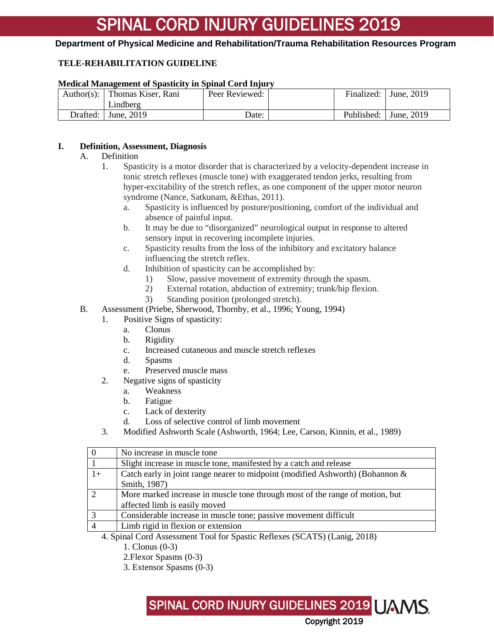#### **Department of Physical Medicine and Rehabilitation/Trauma Rehabilitation Resources Program**

#### **TELE-REHABILITATION GUIDELINE**

#### **Medical Management of Spasticity in Spinal Cord Injury**

|          | Author(s): Thomas Kiser, Rani<br>Lindberg | Peer Reviewed: | Finalized: | June, $2019$            |
|----------|-------------------------------------------|----------------|------------|-------------------------|
| Drafted: | June, 2019                                | Date:          |            | Published:   June, 2019 |

#### **I. Definition, Assessment, Diagnosis**

#### A. Definition

- 1. Spasticity is a motor disorder that is characterized by a velocity-dependent increase in tonic stretch reflexes (muscle tone) with exaggerated tendon jerks, resulting from hyper-excitability of the stretch reflex, as one component of the upper motor neuron syndrome (Nance, Satkunam, &Ethas, 2011).
	- a. Spasticity is influenced by posture/positioning, comfort of the individual and absence of painful input.
	- b. It may be due to "disorganized" neurological output in response to altered sensory input in recovering incomplete injuries.
	- c. Spasticity results from the loss of the inhibitory and excitatory balance influencing the stretch reflex.
	- d. Inhibition of spasticity can be accomplished by:
		- 1) Slow, passive movement of extremity through the spasm.
		- 2) External rotation, abduction of extremity; trunk/hip flexion.
		- 3) Standing position (prolonged stretch).
- B. Assessment (Priebe, Sherwood, Thornby, et al., 1996; Young, 1994)
	- 1. Positive Signs of spasticity:
		- a. Clonus
		- b. Rigidity
		- c. Increased cutaneous and muscle stretch reflexes
		- d. Spasms
		- e. Preserved muscle mass
	- 2. Negative signs of spasticity
		- a. Weakness
		- b. Fatigue
		- c. Lack of dexterity
		- d. Loss of selective control of limb movement
	- 3. Modified Ashworth Scale (Ashworth, 1964; Lee, Carson, Kinnin, et al., 1989)

|                                                                          | No increase in muscle tone                                                    |  |
|--------------------------------------------------------------------------|-------------------------------------------------------------------------------|--|
|                                                                          | Slight increase in muscle tone, manifested by a catch and release             |  |
| $1+$                                                                     | Catch early in joint range nearer to midpoint (modified Ashworth) (Bohannon & |  |
|                                                                          | Smith, 1987)                                                                  |  |
|                                                                          | More marked increase in muscle tone through most of the range of motion, but  |  |
|                                                                          | affected limb is easily moved                                                 |  |
|                                                                          | Considerable increase in muscle tone; passive movement difficult              |  |
|                                                                          | Limb rigid in flexion or extension                                            |  |
| 4. Spinal Cord Assossment Tool for Spectic Deflexes (SCATS) (Lenig 2018) |                                                                               |  |

- 4. Spinal Cord Assessment Tool for Spastic Reflexes (SCATS) (Lanig, 2018)
	- 1. Clonus (0-3)
	- 2.Flexor Spasms (0-3)
	- 3. Extensor Spasms (0-3)

SPINAL CORD INJURY GUIDELINES 2019 UAMS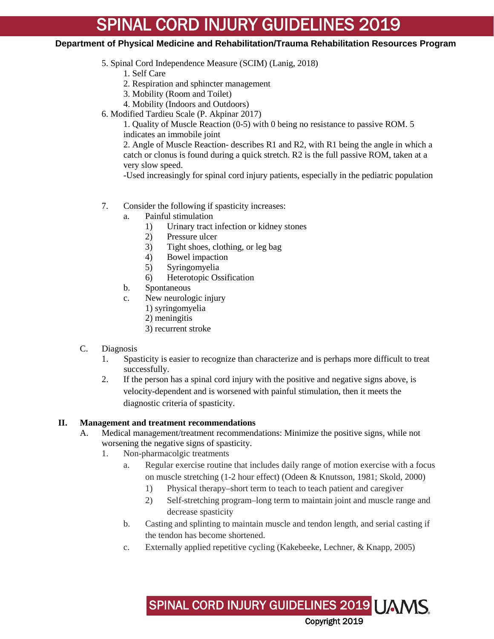#### **Department of Physical Medicine and Rehabilitation/Trauma Rehabilitation Resources Program**

5. Spinal Cord Independence Measure (SCIM) (Lanig, 2018)

1. Self Care

- 2. Respiration and sphincter management
- 3. Mobility (Room and Toilet)
- 4. Mobility (Indoors and Outdoors)
- 6. Modified Tardieu Scale (P. Akpinar 2017)

1. Quality of Muscle Reaction (0-5) with 0 being no resistance to passive ROM. 5 indicates an immobile joint

2. Angle of Muscle Reaction- describes R1 and R2, with R1 being the angle in which a catch or clonus is found during a quick stretch. R2 is the full passive ROM, taken at a very slow speed.

-Used increasingly for spinal cord injury patients, especially in the pediatric population

- 7. Consider the following if spasticity increases:
	- a. Painful stimulation
		- 1) Urinary tract infection or kidney stones
		- 2) Pressure ulcer
		- 3) Tight shoes, clothing, or leg bag
		- 4) Bowel impaction
		- 5) Syringomyelia
		- 6) Heterotopic Ossification
	- b. Spontaneous
	- c. New neurologic injury
		- 1) syringomyelia
		- 2) meningitis
		- 3) recurrent stroke
- C. Diagnosis
	- 1. Spasticity is easier to recognize than characterize and is perhaps more difficult to treat successfully.
	- 2. If the person has a spinal cord injury with the positive and negative signs above, is velocity-dependent and is worsened with painful stimulation, then it meets the diagnostic criteria of spasticity.

#### **II. Management and treatment recommendations**

- A. Medical management/treatment recommendations: Minimize the positive signs, while not worsening the negative signs of spasticity.
	- 1. Non-pharmacolgic treatments
		- a. Regular exercise routine that includes daily range of motion exercise with a focus on muscle stretching (1-2 hour effect) (Odeen & Knutsson, 1981; Skold, 2000)
			- 1) Physical therapy–short term to teach to teach patient and caregiver
			- 2) Self-stretching program–long term to maintain joint and muscle range and decrease spasticity

SPINAL CORD INJURY GUIDELINES 2019 UAMS

- b. Casting and splinting to maintain muscle and tendon length, and serial casting if the tendon has become shortened.
- c. Externally applied repetitive cycling (Kakebeeke, Lechner, & Knapp, 2005)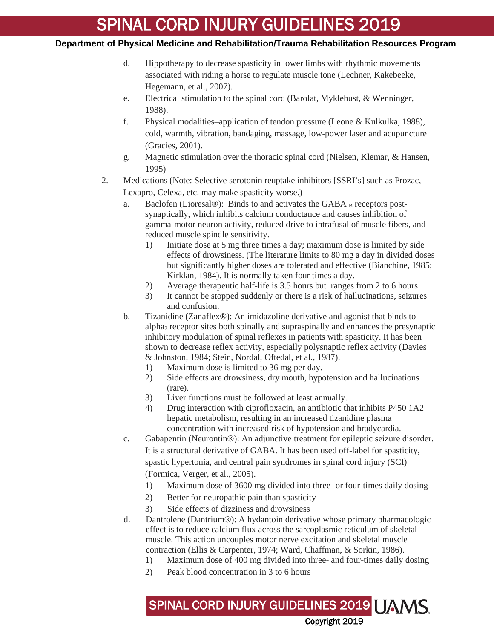#### **Department of Physical Medicine and Rehabilitation/Trauma Rehabilitation Resources Program**

- d. Hippotherapy to decrease spasticity in lower limbs with rhythmic movements associated with riding a horse to regulate muscle tone (Lechner, Kakebeeke, Hegemann, et al., 2007).
- e. Electrical stimulation to the spinal cord (Barolat, Myklebust, & Wenninger, 1988).
- f. Physical modalities–application of tendon pressure (Leone & Kulkulka, 1988), cold, warmth, vibration, bandaging, massage, low-power laser and acupuncture (Gracies, 2001).
- g. Magnetic stimulation over the thoracic spinal cord (Nielsen, Klemar, & Hansen, 1995)
- 2. Medications (Note: Selective serotonin reuptake inhibitors [SSRI's] such as Prozac, Lexapro, Celexa, etc. may make spasticity worse.)
	- a. Baclofen (Lioresal®): Binds to and activates the GABA  $_B$  receptors postsynaptically, which inhibits calcium conductance and causes inhibition of gamma-motor neuron activity, reduced drive to intrafusal of muscle fibers, and reduced muscle spindle sensitivity.
		- 1) Initiate dose at 5 mg three times a day; maximum dose is limited by side effects of drowsiness. (The literature limits to 80 mg a day in divided doses but significantly higher doses are tolerated and effective (Bianchine, 1985; Kirklan, 1984). It is normally taken four times a day.
		- 2) Average therapeutic half-life is 3.5 hours but ranges from 2 to 6 hours
		- 3) It cannot be stopped suddenly or there is a risk of hallucinations, seizures and confusion.
	- b. Tizanidine (Zanaflex®): An imidazoline derivative and agonist that binds to alpha2 receptor sites both spinally and supraspinally and enhances the presynaptic inhibitory modulation of spinal reflexes in patients with spasticity. It has been shown to decrease reflex activity, especially polysnaptic reflex activity (Davies & Johnston, 1984; Stein, Nordal, Oftedal, et al., 1987).
		- 1) Maximum dose is limited to 36 mg per day.
		- 2) Side effects are drowsiness, dry mouth, hypotension and hallucinations (rare).
		- 3) Liver functions must be followed at least annually.
		- 4) Drug interaction with ciprofloxacin, an antibiotic that inhibits P450 1A2 hepatic metabolism, resulting in an increased tizanidine plasma concentration with increased risk of hypotension and bradycardia.
	- c. Gabapentin (Neurontin®): An adjunctive treatment for epileptic seizure disorder. It is a structural derivative of GABA. It has been used off-label for spasticity, spastic hypertonia, and central pain syndromes in spinal cord injury (SCI) (Formica, Verger, et al., 2005).
		- 1) Maximum dose of 3600 mg divided into three- or four-times daily dosing
		- 2) Better for neuropathic pain than spasticity
		- 3) Side effects of dizziness and drowsiness
	- d. Dantrolene (Dantrium®): A hydantoin derivative whose primary pharmacologic effect is to reduce calcium flux across the sarcoplasmic reticulum of skeletal muscle. This action uncouples motor nerve excitation and skeletal muscle contraction (Ellis & Carpenter, 1974; Ward, Chaffman, & Sorkin, 1986).
		- 1) Maximum dose of 400 mg divided into three- and four-times daily dosing

SPINAL CORD INJURY GUIDELINES 2019 UAMS

Copyright 2019

2) Peak blood concentration in 3 to 6 hours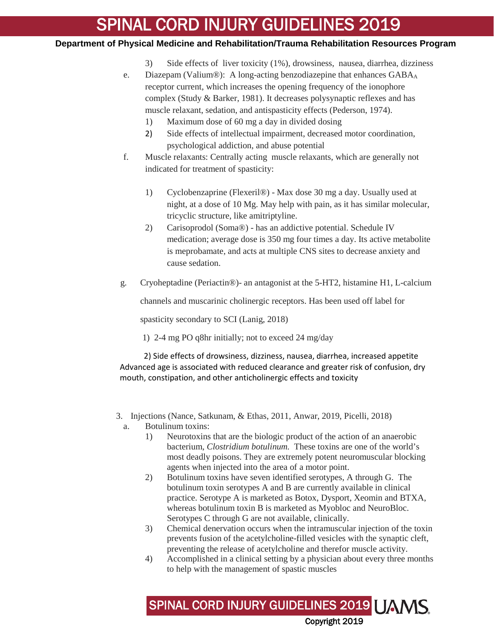#### **Department of Physical Medicine and Rehabilitation/Trauma Rehabilitation Resources Program**

- 3) Side effects of liver toxicity (1%), drowsiness, nausea, diarrhea, dizziness
- e. Diazepam (Valium®): A long-acting benzodiazepine that enhances GABA<sub>A</sub> receptor current, which increases the opening frequency of the ionophore complex (Study & Barker, 1981). It decreases polysynaptic reflexes and has muscle relaxant, sedation, and antispasticity effects (Pederson, 1974).
	- 1) Maximum dose of 60 mg a day in divided dosing
	- 2) Side effects of intellectual impairment, decreased motor coordination, psychological addiction, and abuse potential
- f. Muscle relaxants: Centrally acting muscle relaxants, which are generally not indicated for treatment of spasticity:
	- 1) Cyclobenzaprine (Flexeril®) Max dose 30 mg a day. Usually used at night, at a dose of 10 Mg. May help with pain, as it has similar molecular, tricyclic structure, like amitriptyline.
	- 2) Carisoprodol (Soma®) has an addictive potential. Schedule IV medication; average dose is 350 mg four times a day. Its active metabolite is meprobamate, and acts at multiple CNS sites to decrease anxiety and cause sedation.
- g. Cryoheptadine (Periactin®)- an antagonist at the 5-HT2, histamine H1, L-calcium

channels and muscarinic cholinergic receptors. Has been used off label for

spasticity secondary to SCI (Lanig, 2018)

1) 2-4 mg PO q8hr initially; not to exceed 24 mg/day

 2) Side effects of drowsiness, dizziness, nausea, diarrhea, increased appetite Advanced age is associated with reduced clearance and greater risk of confusion, dry mouth, constipation, and other anticholinergic effects and toxicity

- 3. Injections (Nance, Satkunam, & Ethas, 2011, Anwar, 2019, Picelli, 2018) a. Botulinum toxins:
	- 1) Neurotoxins that are the biologic product of the action of an anaerobic bacterium, *Clostridium botulinum.* These toxins are one of the world's most deadly poisons. They are extremely potent neuromuscular blocking agents when injected into the area of a motor point.
	- 2) Botulinum toxins have seven identified serotypes, A through G. The botulinum toxin serotypes A and B are currently available in clinical practice. Serotype A is marketed as Botox, Dysport, Xeomin and BTXA, whereas botulinum toxin B is marketed as Myobloc and NeuroBloc. Serotypes C through G are not available, clinically.
	- 3) Chemical denervation occurs when the intramuscular injection of the toxin prevents fusion of the acetylcholine-filled vesicles with the synaptic cleft, preventing the release of acetylcholine and therefor muscle activity.
	- 4) Accomplished in a clinical setting by a physician about every three months to help with the management of spastic muscles

SPINAL CORD INJURY GUIDELINES 2019 UAMS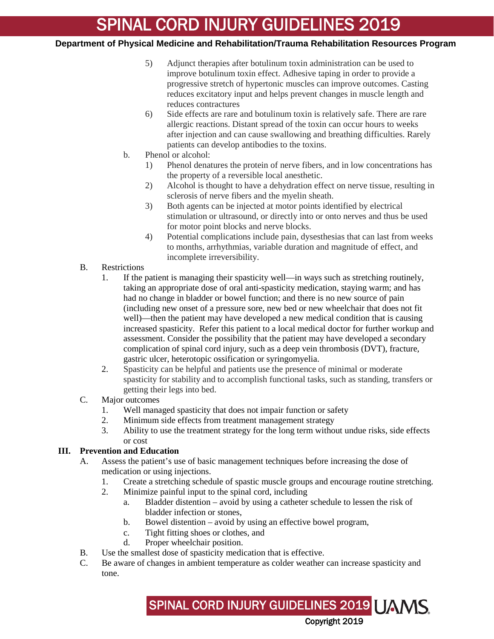#### **Department of Physical Medicine and Rehabilitation/Trauma Rehabilitation Resources Program**

- 5) Adjunct therapies after botulinum toxin administration can be used to improve botulinum toxin effect. Adhesive taping in order to provide a progressive stretch of hypertonic muscles can improve outcomes. Casting reduces excitatory input and helps prevent changes in muscle length and reduces contractures
- 6) Side effects are rare and botulinum toxin is relatively safe. There are rare allergic reactions. Distant spread of the toxin can occur hours to weeks after injection and can cause swallowing and breathing difficulties. Rarely patients can develop antibodies to the toxins.
- b. Phenol or alcohol:
	- 1) Phenol denatures the protein of nerve fibers, and in low concentrations has the property of a reversible local anesthetic.
	- 2) Alcohol is thought to have a dehydration effect on nerve tissue, resulting in sclerosis of nerve fibers and the myelin sheath.
	- 3) Both agents can be injected at motor points identified by electrical stimulation or ultrasound, or directly into or onto nerves and thus be used for motor point blocks and nerve blocks.
	- 4) Potential complications include pain, dysesthesias that can last from weeks to months, arrhythmias, variable duration and magnitude of effect, and incomplete irreversibility.
- B. Restrictions
	- 1. If the patient is managing their spasticity well—in ways such as stretching routinely, taking an appropriate dose of oral anti-spasticity medication, staying warm; and has had no change in bladder or bowel function; and there is no new source of pain (including new onset of a pressure sore, new bed or new wheelchair that does not fit well)—then the patient may have developed a new medical condition that is causing increased spasticity. Refer this patient to a local medical doctor for further workup and assessment. Consider the possibility that the patient may have developed a secondary complication of spinal cord injury, such as a deep vein thrombosis (DVT), fracture, gastric ulcer, heterotopic ossification or syringomyelia.
	- 2. Spasticity can be helpful and patients use the presence of minimal or moderate spasticity for stability and to accomplish functional tasks, such as standing, transfers or getting their legs into bed.
- C. Major outcomes
	- 1. Well managed spasticity that does not impair function or safety
	- 2. Minimum side effects from treatment management strategy
	- 3. Ability to use the treatment strategy for the long term without undue risks, side effects or cost

#### **III. Prevention and Education**

- A. Assess the patient's use of basic management techniques before increasing the dose of medication or using injections.
	- 1. Create a stretching schedule of spastic muscle groups and encourage routine stretching.
	- 2. Minimize painful input to the spinal cord, including
		- a. Bladder distention avoid by using a catheter schedule to lessen the risk of bladder infection or stones,

SPINAL CORD INJURY GUIDELINES 2019 UAMS

- b. Bowel distention avoid by using an effective bowel program,
- c. Tight fitting shoes or clothes, and
- d. Proper wheelchair position.
- B. Use the smallest dose of spasticity medication that is effective.
- C. Be aware of changes in ambient temperature as colder weather can increase spasticity and tone.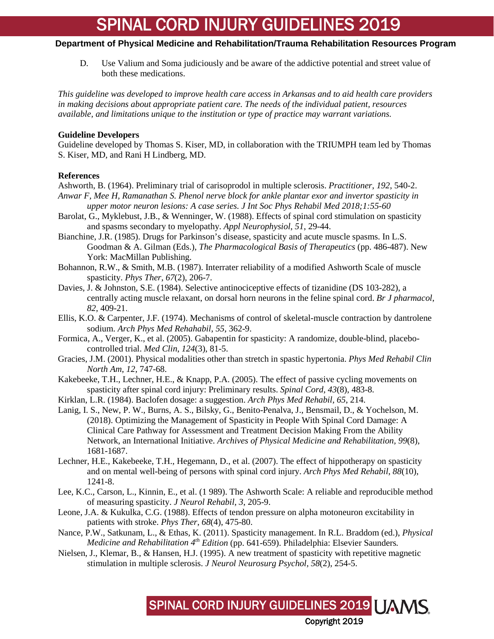#### **Department of Physical Medicine and Rehabilitation/Trauma Rehabilitation Resources Program**

D. Use Valium and Soma judiciously and be aware of the addictive potential and street value of both these medications.

*This guideline was developed to improve health care access in Arkansas and to aid health care providers in making decisions about appropriate patient care. The needs of the individual patient, resources available, and limitations unique to the institution or type of practice may warrant variations.*

#### **Guideline Developers**

Guideline developed by Thomas S. Kiser, MD, in collaboration with the TRIUMPH team led by Thomas S. Kiser, MD, and Rani H Lindberg, MD.

#### **References**

- Ashworth, B. (1964). Preliminary trial of carisoprodol in multiple sclerosis. *Practitioner*, *192*, 540-2. *Anwar F, Mee H, Ramanathan S. Phenol nerve block for ankle plantar exor and invertor spasticity in upper motor neuron lesions: A case series. J Int Soc Phys Rehabil Med 2018;1:55-60*
- Barolat, G., Myklebust, J.B., & Wenninger, W. (1988). Effects of spinal cord stimulation on spasticity and spasms secondary to myelopathy. *Appl Neurophysiol*, *51*, 29-44.
- Bianchine, J.R. (1985). Drugs for Parkinson's disease, spasticity and acute muscle spasms. In L.S. Goodman & A. Gilman (Eds.), *The Pharmacological Basis of Therapeutics* (pp. 486-487). New York: MacMillan Publishing.
- Bohannon, R.W., & Smith, M.B. (1987). Interrater reliability of a modified Ashworth Scale of muscle spasticity. *Phys Ther*, *67*(2), 206-7.
- Davies, J. & Johnston, S.E. (1984). Selective antinociceptive effects of tizanidine (DS 103-282), a centrally acting muscle relaxant, on dorsal horn neurons in the feline spinal cord. *Br J pharmacol*, *82*, 409-21.
- Ellis, K.O. & Carpenter, J.F. (1974). Mechanisms of control of skeletal-muscle contraction by dantrolene sodium. *Arch Phys Med Rehahabil*, *55*, 362-9.
- Formica, A., Verger, K., et al. (2005). Gabapentin for spasticity: A randomize, double-blind, placebocontrolled trial. *Med Clin*, *124*(3), 81-5.
- Gracies, J.M. (2001). Physical modalities other than stretch in spastic hypertonia. *Phys Med Rehabil Clin North Am*, *12*, 747-68.
- Kakebeeke, T.H., Lechner, H.E., & Knapp, P.A. (2005). The effect of passive cycling movements on spasticity after spinal cord injury: Preliminary results. *Spinal Cord*, *43*(8), 483-8.
- Kirklan, L.R. (1984). Baclofen dosage: a suggestion. *Arch Phys Med Rehabil*, *65*, 214.
- Lanig, I. S., New, P. W., Burns, A. S., Bilsky, G., Benito-Penalva, J., Bensmail, D., & Yochelson, M. (2018). Optimizing the Management of Spasticity in People With Spinal Cord Damage: A Clinical Care Pathway for Assessment and Treatment Decision Making From the Ability Network, an International Initiative. *Archives of Physical Medicine and Rehabilitation, 99*(8), 1681-1687.
- Lechner, H.E., Kakebeeke, T.H., Hegemann, D., et al. (2007). The effect of hippotherapy on spasticity and on mental well-being of persons with spinal cord injury. *Arch Phys Med Rehabil*, *88*(10), 1241-8.
- Lee, K.C., Carson, L., Kinnin, E., et al. (1 989). The Ashworth Scale: A reliable and reproducible method of measuring spasticity. *J Neurol Rehabil*, *3*, 205-9.
- Leone, J.A. & Kukulka, C.G. (1988). Effects of tendon pressure on alpha motoneuron excitability in patients with stroke. *Phys Ther*, *68*(4), 475-80.
- Nance, P.W., Satkunam, L., & Ethas, K. (2011). Spasticity management. In R.L. Braddom (ed.), *Physical Medicine and Rehabilitation 4th Edition* (pp. 641-659). Philadelphia: Elsevier Saunders*.*

SPINAL CORD INJURY GUIDELINES 2019 UAMS.

Copyright 2019

Nielsen, J., Klemar, B., & Hansen, H.J. (1995). A new treatment of spasticity with repetitive magnetic stimulation in multiple sclerosis. *J Neurol Neurosurg Psychol*, *58*(2), 254-5.